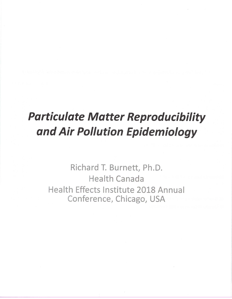# **Particulate Matter Reproducibility** and Air Pollution Epidemiology

Richard T. Burnett, Ph.D. Health Canada Health Effects Institute 2018 Annual Conference, Chicago, USA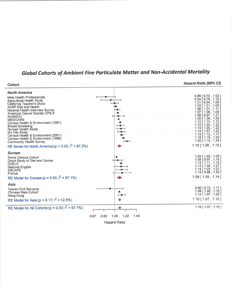## **Global Cohorts of Ambient Fine Particulate Matter and Non-Accidental Mortality**

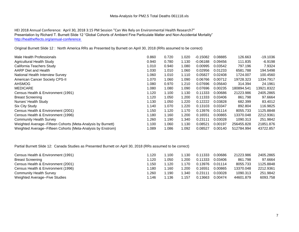HEI 2018 Annual Conference: April 30, 2018 3:15 PM Session "Can We Rely on Environmental Health Research?" Presentation by Richard T. Burnett Slide 12 "Global Cohorts of Ambient Fine Particulate Matter and Non-Accidental Mortality" <http://healtheffects.org/annual-conference>

Original Burnett Slide 12 : North America RRs as Presented by Burnett on April 30, 2018 (RRs assumed to be correct)

| Male Health Professionals                                    | 0.860 | 0.720 | 1.020 | $-0.15082$ | 0.08885 | 126.663    | $-19.1036$ |
|--------------------------------------------------------------|-------|-------|-------|------------|---------|------------|------------|
| <b>Agricultural Health Study</b>                             | 0.940 | 0.780 | 1.130 | $-0.06188$ | 0.09456 | 111.835    | $-6.9198$  |
| California Teachers Study                                    | 1.010 | 0.940 | 1.080 | 0.00995    | 0.03542 | 797.196    | 7.9324     |
| AARP Diet and Health                                         | 1.030 | 1.010 | 1.060 | 0.02956    | 0.01233 | 6581.788   | 194.5498   |
| National Health Interview Survey                             | 1.060 | 1.010 | 1.110 | 0.05827    | 0.02408 | 1724.007   | 100.4560   |
| American Cancer Society CPS-II                               | 1.070 | 1.060 | 1.090 | 0.06766    | 0.00712 | 19728.323  | 1334.7917  |
| <b>AHSMOG</b>                                                | 1.080 | 0.970 | 1.210 | 0.07696    | 0.05640 | 314.394    | 24.1961    |
| <b>MEDICARE</b>                                              | 1.080 | 1.080 | 1.090 | 0.07696    | 0.00235 | 180894.541 | 13921.8322 |
| Census Health & Environment (1991)                           | 1.120 | 1.100 | 1.130 | 0.11333    | 0.00686 | 21223.986  | 2405.2865  |
| <b>Breast Screening</b>                                      | 1.120 | 1.050 | 1.200 | 0.11333    | 0.03406 | 861.798    | 97.6664    |
| Nurses' Health Study                                         | 1.130 | 1.050 | 1.220 | 0.12222    | 0.03828 | 682.399    | 83.4012    |
| Six City Study                                               | 1.140 | 1.070 | 1.220 | 0.13103    | 0.03347 | 892.804    | 116.9825   |
| Census Health & Environment (2001)                           | 1.150 | 1.120 | 1.170 | 0.13976    | 0.01114 | 8055.733   | 1125.8848  |
| Census Health & Environment (1996)                           | 1.180 | 1.160 | 1.200 | 0.16551    | 0.00865 | 13370.048  | 2212.9361  |
| <b>Community Health Survey</b>                               | 1.260 | 1.190 | 1.340 | 0.23111    | 0.03028 | 1090.313   | 251.9842   |
| Weighted Average--Fifteen Cohorts (Meta-Analysis by Burnett) | 1.100 | 1.060 | 1.130 | 0.08521    | 0.00197 | 256455.828 | 21851.876  |
| Weighted Average--Fifteen Cohorts (Meta-Analysis by Enstrom) | 1.089 | 1.086 | 1.092 | 0.08527    | 0.00140 | 512784.994 | 43722.857  |
|                                                              |       |       |       |            |         |            |            |

Partial Burnett Slide 12: Canada Studies as Presented Burnett on April 30, 2018 (RRs assumed to be correct)

| Census Health & Environment (1991) | .120  | .100  | .130 | 0.11333 | 0.00686 | 21223.986 | 2405.2865 |
|------------------------------------|-------|-------|------|---------|---------|-----------|-----------|
| <b>Breast Screening</b>            | 1.120 | .050  | .200 | 0.11333 | 0.03406 | 861.798   | 97.6664   |
| Census Health & Environment (2001) | l.150 | 1.120 | .170 | 0.13976 | 0.01114 | 8055.733  | 1125.8848 |
| Census Health & Environment (1996) | .180  | .160  | .200 | 0.16551 | 0.00865 | 13370.048 | 2212.9361 |
| <b>Community Health Survey</b>     | .260  | .190  | .340 | 0.23111 | 0.03028 | 1090.313  | 251.9842  |
| Weighted Average--Five Studies     | 1.146 | .136  | .157 | 0.13663 | 0.00474 | 44601.879 | 6093.758  |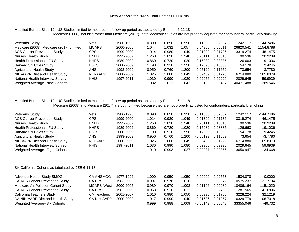### Modified Burnett Slide 12: US Studies limited to most recent follow-up period as tabulated by Enstrom 6-11-18 Medicare (2008) included rather than Medicare (2017)--both Medicare Studies are not properly adjusted for confounders, particularly smoking

| Veterans' Study                           | Vets                          | 1986-1996 | 0.890 | 0.850 | 0.950 | $-0.11653$ | 0.02837 | 1242.117  | $-144.7486$ |
|-------------------------------------------|-------------------------------|-----------|-------|-------|-------|------------|---------|-----------|-------------|
| Medicare (2008) [Medicare (2017) omitted] | <b>MCAPS</b>                  | 2000-2005 | 1.044 | 1.032 | 1.057 | 0.04306    | 0.00611 | 26820.541 | 1154.8788   |
| <b>ACS Cancer Prevention Study II</b>     | CPS II                        | 1999-2000 | 1.014 | 0.980 | 1.049 | 0.01390    | 0.01736 | 3319.274  | 46.1475     |
| Nurses' Health Study                      | <b>HNHS</b>                   | 1992-2002 | 1.260 | 1.020 | '.540 | 0.23111    | 0.10510 | 90.536    | 20.9239     |
| Health Professionals FU Study             | <b>HHPS</b>                   | 1989-2002 | 0.860 | 0.720 | 1.020 | $-0.15082$ | 0.08885 | 126.663   | $-19.1036$  |
| Harvard Six Cities Study                  | H <sub>6</sub> C <sub>S</sub> | 2000-2009 | 1.190 | 0.910 | .550  | 0.17395    | 0.13586 | 54.178    | 9.4245      |
| <b>Agricultural Health Study</b>          | AHS                           | 1993-2009 | 0.950 | 0.760 | 1.200 | $-0.05129$ | 0.11652 | 73.654    | $-3.7780$   |
| NIH-AAPR Diet and Health Study            | NIH-AARP                      | 2000-2009 | 1.025 | 1.000 | 1.049 | 0.02469    | 0.01220 | 6714.880  | 165,8079    |
| National Health Interview Survey          | <b>NHIS</b>                   | 1997-2011 | 1.030 | 0.990 | 1.080 | 0.02956    | 0.02220 | 2029.645  | 59.9939     |
| Weighted Average--Nine Cohorts            |                               |           | 1.032 | 1.022 | 1.042 | 0.03186    | 0.00497 | 40471.488 | 1289.546    |

### Modified Burnett Slide 12: US Studies limited to most recent follow-up period as tabulated by Enstrom 6-11-18

Medicare (2008) and Medicare (2017) are both omitted because they are not properly adjusted for confounders, particularly smoking

| Veterans' Study                       | Vets                          | 1986-1996 | 0.890 | 0.850  | 0.950 | $-0.11653$ | 0.02837 | 1242.117  | $-144.7486$ |
|---------------------------------------|-------------------------------|-----------|-------|--------|-------|------------|---------|-----------|-------------|
| <b>ACS Cancer Prevention Study II</b> | CPS II                        | 1999-2000 | 1.014 | 0.980  | 1.049 | 0.01390    | 0.01736 | 3319.274  | 46.1475     |
| Nurses' Health Study                  | <b>HNHS</b>                   | 1992-2002 | 1.260 | 1.020  | .540  | 0.23111    | 0.10510 | 90.536    | 20.9239     |
| Health Professionals FU Study         | <b>HHPS</b>                   | 1989-2002 | 0.860 | 0.720  | 1.020 | $-0.15082$ | 0.08885 | 126.663   | $-19.1036$  |
| <b>Harvard Six Cities Study</b>       | H <sub>6</sub> C <sub>S</sub> | 2000-2009 | 1.190 | 0.910  | .550  | 0.17395    | 0.13586 | 54.178    | 9.4245      |
| <b>Agricultural Health Study</b>      | AHS                           | 1993-2009 | 0.950 | 0.760  | 1.200 | $-0.05129$ | 0.11652 | 73.654    | $-3.7780$   |
| NIH-AAPR Diet and Health Study        | NIH-AARP                      | 2000-2009 | 1.025 | 000. ا | 1.049 | 0.02469    | 0.01220 | 6714.880  | 165.8079    |
| National Health Interview Survey      | <b>NHIS</b>                   | 1997-2011 | 1.030 | 0.990  | 1.080 | 0.02956    | 0.02220 | 2029.645  | 59.9939     |
| Weighted Average--Eight Cohorts       |                               |           | 1.010 | 0.993  | 1.027 | 0.00987    | 0.00856 | 13650.947 | 134.668     |

Six California Cohorts as tabulated by JEE 6-11-18

| <b>Adventist Health Study SMOG</b>  | CA AHSMOG           | 1977-1992 | 1.000 | 0.950 | 0.050 | 0.00000    | 0.02553 | 1534.078  | 0.0000      |
|-------------------------------------|---------------------|-----------|-------|-------|-------|------------|---------|-----------|-------------|
| CA ACS Cancer Prevention Study I    | CA CPS I            | 1983-2002 | 0.997 | 0.978 | 1.016 | -0.00300   | 0.00972 | 10575.237 | $-31.7734$  |
| Medicare Air Pollution Cohort Study | <b>MCAPS 'West'</b> | 2000-2005 | 0.989 | 0.970 | .008  | $-0.01106$ | 0.00980 | 10406.164 | $-115.1020$ |
| CA ACS Cancer Prevention Study II   | CA CPS II           | 1982-2000 | 0.968 | 0.916 | 1.022 | $-0.03252$ | 0.02793 | 1281.565  | $-41.6806$  |
| California Teachers Study           | <b>CA Teachers</b>  | 2001-2007 | 1.010 | 0.980 | .050  | 0.00995    | 0.01760 | 3228.224  | 32.1219     |
| CA NIH-AARP Diet and Health Study   | CA NIH-AARP         | 2000-2009 | 1.017 | 0.990 | .040  | 0.01686    | 0.01257 | 6329.779  | 106.7018    |
| Weighted Average--Six Cohorts       |                     |           | 0.999 | 0.988 | ∣.009 | $-0.00149$ | 0.00548 | 33355.046 | $-49.732$   |